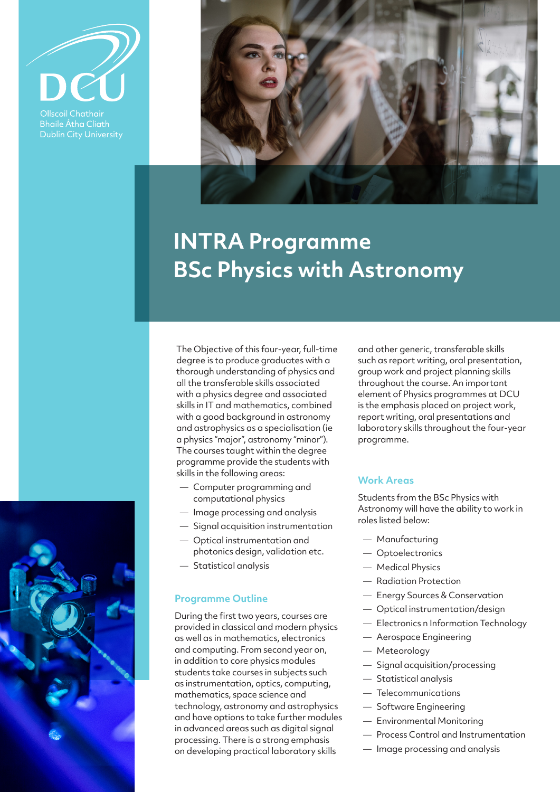

Ollscoil Chathair **Bhaile Átha Cliath Dublin City University** 



# **INTRA Programme BSc Physics with Astronomy**



The Objective of this four-year, full-time degree is to produce graduates with a thorough understanding of physics and all the transferable skills associated with a physics degree and associated skills in IT and mathematics, combined with a good background in astronomy and astrophysics as a specialisation (ie a physics "major", astronomy "minor"). The courses taught within the degree programme provide the students with skills in the following areas:

- Computer programming and computational physics
- Image processing and analysis
- Signal acquisition instrumentation
- Optical instrumentation and photonics design, validation etc.
- Statistical analysis

### **Programme Outline**

During the first two years, courses are provided in classical and modern physics as well as in mathematics, electronics and computing. From second year on, in addition to core physics modules students take courses in subjects such as instrumentation, optics, computing, mathematics, space science and technology, astronomy and astrophysics and have options to take further modules in advanced areas such as digital signal processing. There is a strong emphasis on developing practical laboratory skills

and other generic, transferable skills such as report writing, oral presentation, group work and project planning skills throughout the course. An important element of Physics programmes at DCU is the emphasis placed on project work, report writing, oral presentations and laboratory skills throughout the four-year programme.

## **Work Areas**

Students from the BSc Physics with Astronomy will have the ability to work in roles listed below:

- Manufacturing
- Optoelectronics
- Medical Physics
- Radiation Protection
- Energy Sources & Conservation
- Optical instrumentation/design
- Electronics n Information Technology
- Aerospace Engineering
- Meteorology
- Signal acquisition/processing
- Statistical analysis
- Telecommunications
- Software Engineering
- Environmental Monitoring
- Process Control and Instrumentation
- Image processing and analysis